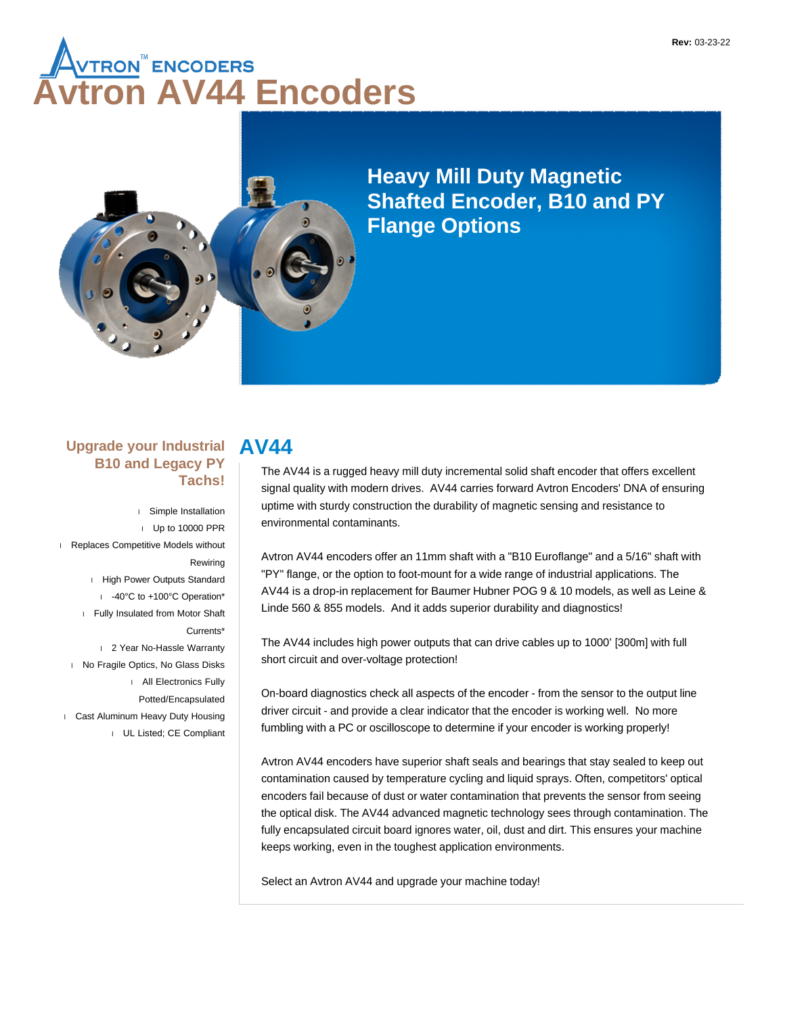# **A<sub>VTRON</sub>® ENCODERS<br>Vtron AV44 Encoders**



**Heavy Mill Duty Magnetic Shafted Encoder, B10 and PY Flange Options**

#### **Upgrade your Industrial B10 and Legacy PY Tachs!**

 Simple Installation Up to 10000 PPR Replaces Competitive Models without Rewiring High Power Outputs Standard -40°C to +100°C Operation\* Fully Insulated from Motor Shaft Currents\* 2 Year No-Hassle Warranty I No Fragile Optics, No Glass Disks All Electronics Fully Potted/Encapsulated Cast Aluminum Heavy Duty Housing UL Listed; CE Compliant

# **AV44**

The AV44 is a rugged heavy mill duty incremental solid shaft encoder that offers excellent signal quality with modern drives. AV44 carries forward Avtron Encoders' DNA of ensuring uptime with sturdy construction the durability of magnetic sensing and resistance to environmental contaminants.

Avtron AV44 encoders offer an 11mm shaft with a "B10 Euroflange" and a 5/16" shaft with "PY" flange, or the option to foot-mount for a wide range of industrial applications. The AV44 is a drop-in replacement for Baumer Hubner POG 9 & 10 models, as well as Leine & Linde 560 & 855 models. And it adds superior durability and diagnostics!

The AV44 includes high power outputs that can drive cables up to 1000' [300m] with full short circuit and over-voltage protection!

On-board diagnostics check all aspects of the encoder - from the sensor to the output line driver circuit - and provide a clear indicator that the encoder is working well. No more fumbling with a PC or oscilloscope to determine if your encoder is working properly!

Avtron AV44 encoders have superior shaft seals and bearings that stay sealed to keep out contamination caused by temperature cycling and liquid sprays. Often, competitors' optical encoders fail because of dust or water contamination that prevents the sensor from seeing the optical disk. The AV44 advanced magnetic technology sees through contamination. The fully encapsulated circuit board ignores water, oil, dust and dirt. This ensures your machine keeps working, even in the toughest application environments.

Select an Avtron AV44 and upgrade your machine today!